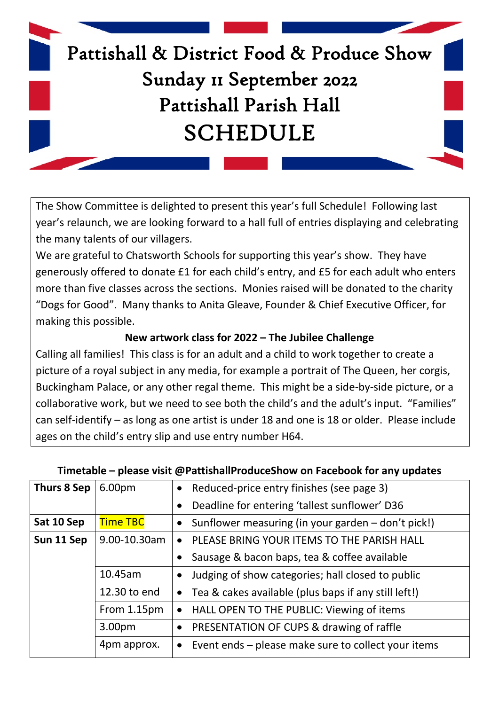

The Show Committee is delighted to present this year's full Schedule! Following last year's relaunch, we are looking forward to a hall full of entries displaying and celebrating the many talents of our villagers.

We are grateful to Chatsworth Schools for supporting this year's show. They have generously offered to donate £1 for each child's entry, and £5 for each adult who enters more than five classes across the sections. Monies raised will be donated to the charity "Dogs for Good". Many thanks to Anita Gleave, Founder & Chief Executive Officer, for making this possible.

#### **New artwork class for 2022 – The Jubilee Challenge**

Calling all families! This class is for an adult and a child to work together to create a picture of a royal subject in any media, for example a portrait of The Queen, her corgis, Buckingham Palace, or any other regal theme. This might be a side-by-side picture, or a collaborative work, but we need to see both the child's and the adult's input. "Families" can self-identify – as long as one artist is under 18 and one is 18 or older. Please include ages on the child's entry slip and use entry number H64.

| Thurs 8 Sep | 6.00pm          | Reduced-price entry finishes (see page 3)                        |
|-------------|-----------------|------------------------------------------------------------------|
|             |                 | Deadline for entering 'tallest sunflower' D36<br>$\bullet$       |
| Sat 10 Sep  | <b>Time TBC</b> | Sunflower measuring (in your garden - don't pick!)               |
| Sun 11 Sep  | 9.00-10.30am    | PLEASE BRING YOUR ITEMS TO THE PARISH HALL<br>$\bullet$          |
|             |                 | Sausage & bacon baps, tea & coffee available                     |
|             | 10.45am         | Judging of show categories; hall closed to public                |
|             | 12.30 to end    | • Tea & cakes available (plus baps if any still left!)           |
|             | From 1.15pm     | HALL OPEN TO THE PUBLIC: Viewing of items<br>$\bullet$           |
|             | 3.00pm          | • PRESENTATION OF CUPS & drawing of raffle                       |
|             | 4pm approx.     | Event ends - please make sure to collect your items<br>$\bullet$ |

#### **Timetable – please visit @PattishallProduceShow on Facebook for any updates**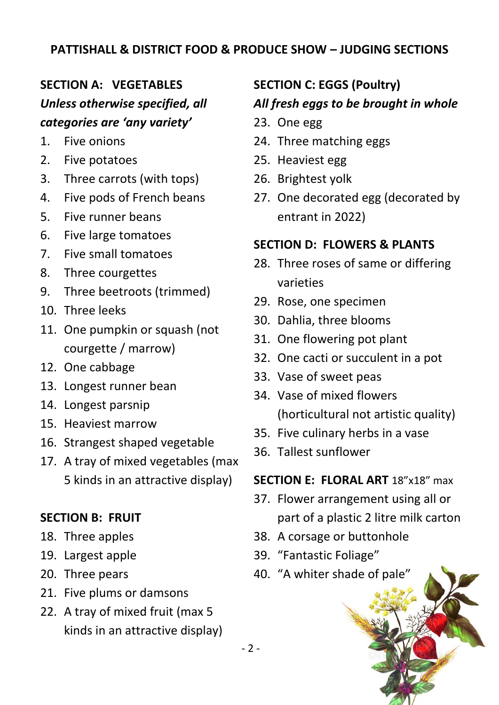#### **PATTISHALL & DISTRICT FOOD & PRODUCE SHOW – JUDGING SECTIONS**

### **SECTION A: VEGETABLES**

## *Unless otherwise specified, all categories are 'any variety'*

- 1. Five onions
- 2. Five potatoes
- 3. Three carrots (with tops)
- 4. Five pods of French beans
- 5. Five runner beans
- 6. Five large tomatoes
- 7. Five small tomatoes
- 8. Three courgettes
- 9. Three beetroots (trimmed)
- 10. Three leeks
- 11. One pumpkin or squash (not courgette / marrow)
- 12. One cabbage
- 13. Longest runner bean
- 14. Longest parsnip
- 15. Heaviest marrow
- 16. Strangest shaped vegetable
- 17. A tray of mixed vegetables (max 5 kinds in an attractive display)

#### **SECTION B: FRUIT**

- 18. Three apples
- 19. Largest apple
- 20. Three pears
- 21. Five plums or damsons
- 22. A tray of mixed fruit (max 5 kinds in an attractive display)

#### **SECTION C: EGGS (Poultry)**

#### *All fresh eggs to be brought in whole*

- 23. One egg
- 24. Three matching eggs
- 25. Heaviest egg
- 26. Brightest yolk
- 27. One decorated egg (decorated by entrant in 2022)

#### **SECTION D: FLOWERS & PLANTS**

- 28. Three roses of same or differing varieties
- 29. Rose, one specimen
- 30. Dahlia, three blooms
- 31. One flowering pot plant
- 32. One cacti or succulent in a pot
- 33. Vase of sweet peas
- 34. Vase of mixed flowers (horticultural not artistic quality)
- 35. Five culinary herbs in a vase
- 36. Tallest sunflower

#### **SECTION E: FLORAL ART** 18"x18" max

- 37. Flower arrangement using all or part of a plastic 2 litre milk carton
- 38. A corsage or buttonhole
- 39. "Fantastic Foliage"
- 40. "A whiter shade of pale"



- 2 -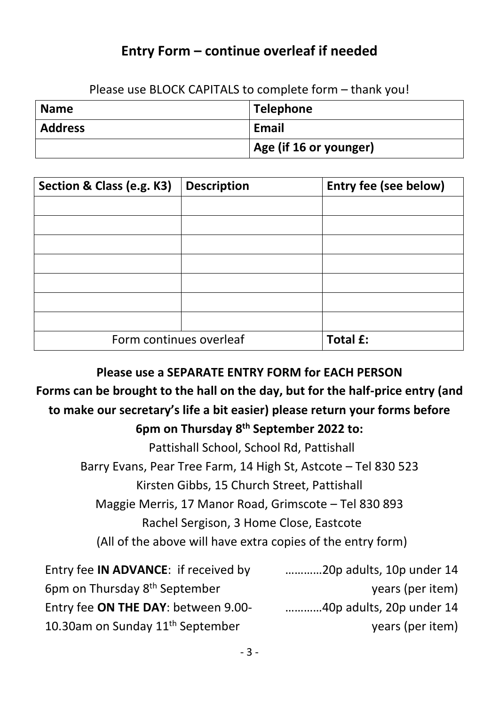## **Entry Form – continue overleaf if needed**

Please use BLOCK CAPITALS to complete form – thank you!

| <b>Name</b>    | Telephone              |
|----------------|------------------------|
| <b>Address</b> | Email                  |
|                | Age (if 16 or younger) |

| Section & Class (e.g. K3) | <b>Description</b> | <b>Entry fee (see below)</b> |
|---------------------------|--------------------|------------------------------|
|                           |                    |                              |
|                           |                    |                              |
|                           |                    |                              |
|                           |                    |                              |
|                           |                    |                              |
|                           |                    |                              |
|                           |                    |                              |
| Form continues overleaf   |                    | <b>Total £:</b>              |

**Please use a SEPARATE ENTRY FORM for EACH PERSON**

## **Forms can be brought to the hall on the day, but for the half-price entry (and to make our secretary's life a bit easier) please return your forms before 6pm on Thursday 8 th September 2022 to:**

Pattishall School, School Rd, Pattishall

Barry Evans, Pear Tree Farm, 14 High St, Astcote – Tel 830 523

Kirsten Gibbs, 15 Church Street, Pattishall

Maggie Merris, 17 Manor Road, Grimscote – Tel 830 893

Rachel Sergison, 3 Home Close, Eastcote

(All of the above will have extra copies of the entry form)

| Entry fee <b>IN ADVANCE</b> : if received by | 20p adults, 10p under 14 |
|----------------------------------------------|--------------------------|
| 6pm on Thursday 8 <sup>th</sup> September    | years (per item)         |
| Entry fee ON THE DAY: between 9.00-          | 40p adults, 20p under 14 |
| 10.30am on Sunday 11 <sup>th</sup> September | years (per item)         |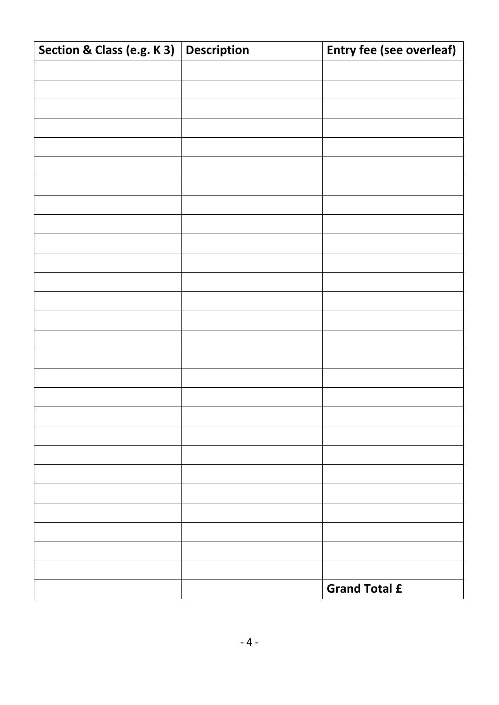| Section & Class (e.g. K 3) | Description | Entry fee (see overleaf) |
|----------------------------|-------------|--------------------------|
|                            |             |                          |
|                            |             |                          |
|                            |             |                          |
|                            |             |                          |
|                            |             |                          |
|                            |             |                          |
|                            |             |                          |
|                            |             |                          |
|                            |             |                          |
|                            |             |                          |
|                            |             |                          |
|                            |             |                          |
|                            |             |                          |
|                            |             |                          |
|                            |             |                          |
|                            |             |                          |
|                            |             |                          |
|                            |             |                          |
|                            |             |                          |
|                            |             |                          |
|                            |             |                          |
|                            |             |                          |
|                            |             |                          |
|                            |             |                          |
|                            |             |                          |
|                            |             |                          |
|                            |             |                          |
|                            |             | <b>Grand Total £</b>     |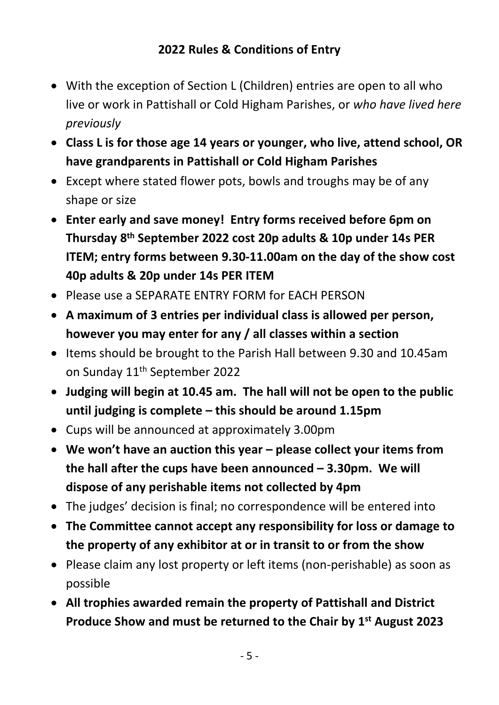- With the exception of Section L (Children) entries are open to all who live or work in Pattishall or Cold Higham Parishes, or *who have lived here previously*
- **Class L is for those age 14 years or younger, who live, attend school, OR have grandparents in Pattishall or Cold Higham Parishes**
- Except where stated flower pots, bowls and troughs may be of any shape or size
- **Enter early and save money! Entry forms received before 6pm on Thursday 8 th September 2022 cost 20p adults & 10p under 14s PER ITEM; entry forms between 9.30-11.00am on the day of the show cost 40p adults & 20p under 14s PER ITEM**
- Please use a SEPARATE ENTRY FORM for EACH PERSON
- **A maximum of 3 entries per individual class is allowed per person, however you may enter for any / all classes within a section**
- Items should be brought to the Parish Hall between 9.30 and 10.45am on Sunday 11<sup>th</sup> September 2022
- **Judging will begin at 10.45 am. The hall will not be open to the public until judging is complete – this should be around 1.15pm**
- Cups will be announced at approximately 3.00pm
- **We won't have an auction this year – please collect your items from the hall after the cups have been announced – 3.30pm. We will dispose of any perishable items not collected by 4pm**
- The judges' decision is final; no correspondence will be entered into
- **The Committee cannot accept any responsibility for loss or damage to the property of any exhibitor at or in transit to or from the show**
- Please claim any lost property or left items (non-perishable) as soon as possible
- **All trophies awarded remain the property of Pattishall and District Produce Show and must be returned to the Chair by 1 st August 2023**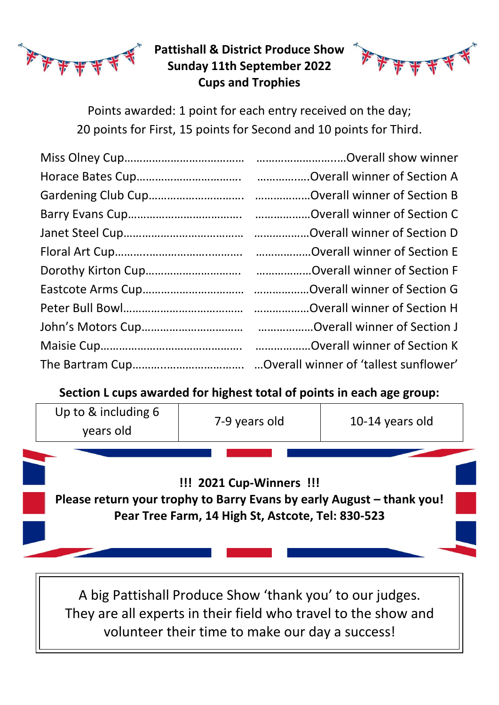

### **Pattishall & District Produce Show Sunday 11th September 2022 Cups and Trophies**



Points awarded: 1 point for each entry received on the day; 20 points for First, 15 points for Second and 10 points for Third.

**Section L cups awarded for highest total of points in each age group:**



A big Pattishall Produce Show 'thank you' to our judges. They are all experts in their field who travel to the show and volunteer their time to make our day a success!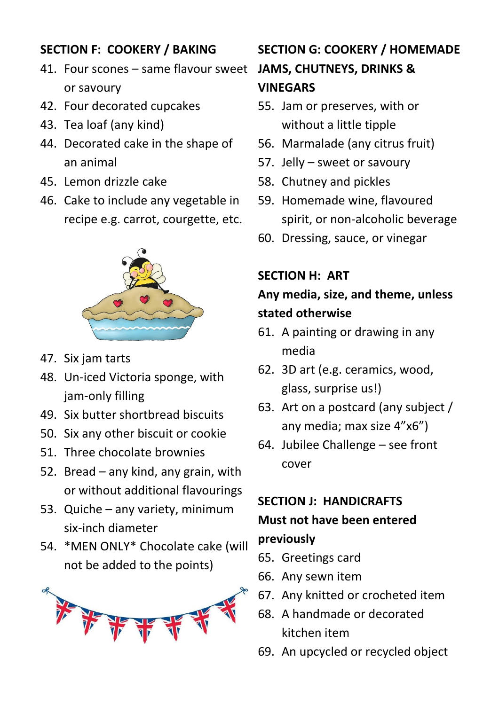## **SECTION F: COOKERY / BAKING**

- 41. Four scones same flavour sweet **JAMS, CHUTNEYS, DRINKS &**  or savoury
- 42. Four decorated cupcakes
- 43. Tea loaf (any kind)
- 44. Decorated cake in the shape of an animal
- 45. Lemon drizzle cake
- 46. Cake to include any vegetable in recipe e.g. carrot, courgette, etc.



- 47. Six jam tarts
- 48. Un-iced Victoria sponge, with jam-only filling
- 49. Six butter shortbread biscuits
- 50. Six any other biscuit or cookie
- 51. Three chocolate brownies
- 52. Bread any kind, any grain, with or without additional flavourings
- 53. Quiche any variety, minimum six-inch diameter
- 54. \*MEN ONLY\* Chocolate cake (will not be added to the points)



# **SECTION G: COOKERY / HOMEMADE VINEGARS**

- 55. Jam or preserves, with or without a little tipple
- 56. Marmalade (any citrus fruit)
- 57. Jelly sweet or savoury
- 58. Chutney and pickles
- 59. Homemade wine, flavoured spirit, or non-alcoholic beverage
- 60. Dressing, sauce, or vinegar

### **SECTION H: ART**

# **Any media, size, and theme, unless stated otherwise**

- 61. A painting or drawing in any media
- 62. 3D art (e.g. ceramics, wood, glass, surprise us!)
- 63. Art on a postcard (any subject / any media; max size 4"x6")
- 64. Jubilee Challenge see front cover

#### **SECTION J: HANDICRAFTS**

# **Must not have been entered previously**

- 65. Greetings card
- 66. Any sewn item
- 67. Any knitted or crocheted item
- 68. A handmade or decorated kitchen item
- 69. An upcycled or recycled object